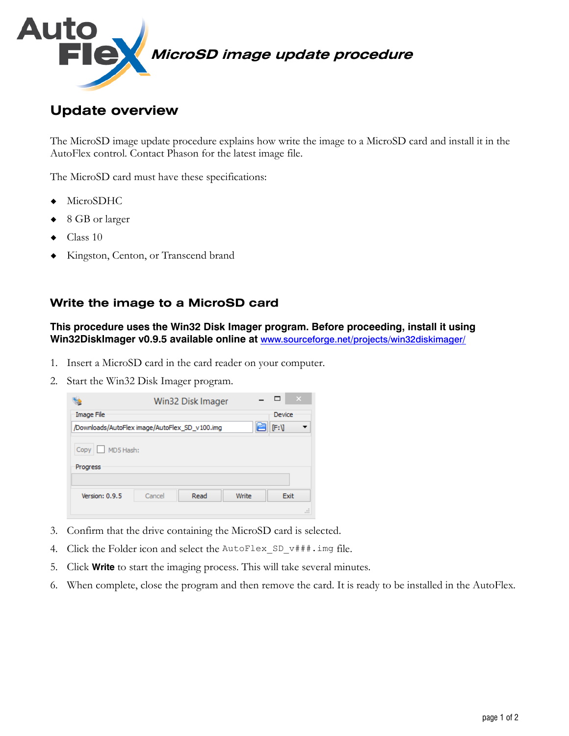

## **Update overview**

The MicroSD image update procedure explains how write the image to a MicroSD card and install it in the AutoFlex control. Contact Phason for the latest image file.

The MicroSD card must have these specifications:

- MicroSDHC
- ◆ 8 GB or larger
- Class 10
- Kingston, Centon, or Transcend brand

## **Write the image to a MicroSD card**

**This procedure uses the Win32 Disk Imager program. Before proceeding, install it using Win32DiskImager v0.9.5 available online at** www.sourceforge.net/projects/win32diskimager/

- 1. Insert a MicroSD card in the card reader on your computer.
- 2. Start the Win32 Disk Imager program.



- 3. Confirm that the drive containing the MicroSD card is selected.
- 4. Click the Folder icon and select the AutoFlex\_SD v###.img file.
- 5. Click **Write** to start the imaging process. This will take several minutes.
- 6. When complete, close the program and then remove the card. It is ready to be installed in the AutoFlex.